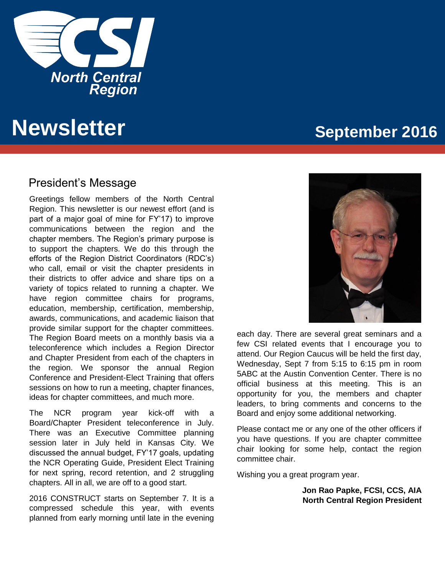

# **Newsletter September 2016**

### President's Message

Greetings fellow members of the North Central Region. This newsletter is our newest effort (and is part of a major goal of mine for FY'17) to improve communications between the region and the chapter members. The Region's primary purpose is to support the chapters. We do this through the efforts of the Region District Coordinators (RDC's) who call, email or visit the chapter presidents in their districts to offer advice and share tips on a variety of topics related to running a chapter. We have region committee chairs for programs, education, membership, certification, membership, awards, communications, and academic liaison that provide similar support for the chapter committees. The Region Board meets on a monthly basis via a teleconference which includes a Region Director and Chapter President from each of the chapters in the region. We sponsor the annual Region Conference and President-Elect Training that offers sessions on how to run a meeting, chapter finances, ideas for chapter committees, and much more.

The NCR program year kick-off with a Board/Chapter President teleconference in July. There was an Executive Committee planning session later in July held in Kansas City. We discussed the annual budget, FY'17 goals, updating the NCR Operating Guide, President Elect Training for next spring, record retention, and 2 struggling chapters. All in all, we are off to a good start.

2016 CONSTRUCT starts on September 7. It is a compressed schedule this year, with events planned from early morning until late in the evening



each day. There are several great seminars and a few CSI related events that I encourage you to attend. Our Region Caucus will be held the first day, Wednesday, Sept 7 from 5:15 to 6:15 pm in room 5ABC at the Austin Convention Center. There is no official business at this meeting. This is an opportunity for you, the members and chapter leaders, to bring comments and concerns to the Board and enjoy some additional networking.

Please contact me or any one of the other officers if you have questions. If you are chapter committee chair looking for some help, contact the region committee chair.

Wishing you a great program year.

**Jon Rao Papke, FCSI, CCS, AIA North Central Region President**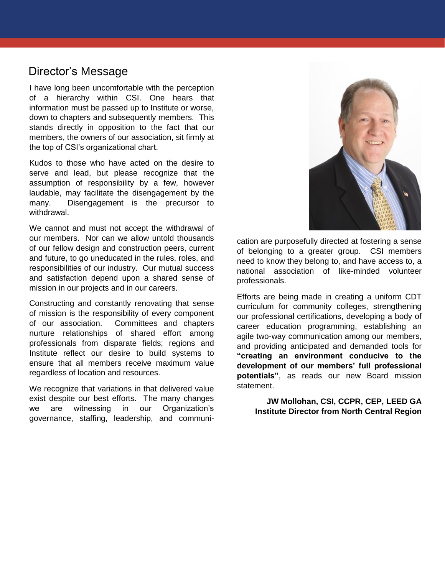### Director's Message

**North Central Region Central Region News**<br>information must be passed up to Institute or worse,<br>down to obenters and subsequently members. This I have long been uncomfortable with the perception of a hierarchy within CSI. One hears that down to chapters and subsequently members. This stands directly in opposition to the fact that our members, the owners of our association, sit firmly at the top of CSI's organizational chart.

Kudos to those who have acted on the desire to serve and lead, but please recognize that the assumption of responsibility by a few, however laudable, may facilitate the disengagement by the many. Disengagement is the precursor to withdrawal.

We cannot and must not accept the withdrawal of our members. Nor can we allow untold thousands of our fellow design and construction peers, current and future, to go uneducated in the rules, roles, and responsibilities of our industry. Our mutual success and satisfaction depend upon a shared sense of mission in our projects and in our careers.

Constructing and constantly renovating that sense of mission is the responsibility of every component of our association. Committees and chapters nurture relationships of shared effort among professionals from disparate fields; regions and Institute reflect our desire to build systems to ensure that all members receive maximum value regardless of location and resources.

We recognize that variations in that delivered value exist despite our best efforts. The many changes we are witnessing in our Organization's governance, staffing, leadership, and communi-



cation are purposefully directed at fostering a sense of belonging to a greater group. CSI members need to know they belong to, and have access to, a national association of like-minded volunteer professionals.

Efforts are being made in creating a uniform CDT curriculum for community colleges, strengthening our professional certifications, developing a body of career education programming, establishing an agile two-way communication among our members, and providing anticipated and demanded tools for **"creating an environment conducive to the development of our members' full professional potentials"**, as reads our new Board mission statement.

**JW Mollohan, CSI, CCPR, CEP, LEED GA Institute Director from North Central Region**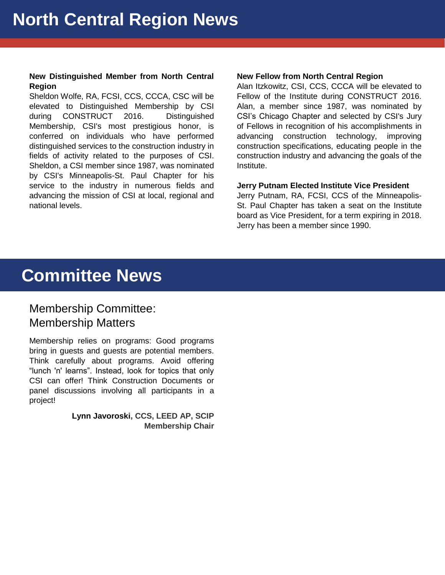### **New Distinguished Member from North Central Region**

elevated to Distinguished Membership by CSI Alan,<br>during CONSTRUCT 2016 Distinguished CSI's Sheldon Wolfe, RA, FCSI, CCS, CCCA, CSC will be during CONSTRUCT 2016. Distinguished Membership, CSI's most prestigious honor, is conferred on individuals who have performed distinguished services to the construction industry in fields of activity related to the purposes of CSI. Sheldon, a CSI member since 1987, was nominated by CSI's Minneapolis-St. Paul Chapter for his service to the industry in numerous fields and advancing the mission of CSI at local, regional and national levels.

### **New Fellow from North Central Region**

Alan Itzkowitz, CSI, CCS, CCCA will be elevated to Fellow of the Institute during CONSTRUCT 2016. Alan, a member since 1987, was nominated by CSI's Chicago Chapter and selected by CSI's Jury of Fellows in recognition of his accomplishments in advancing construction technology, improving construction specifications, educating people in the construction industry and advancing the goals of the Institute.

### **Jerry Putnam Elected Institute Vice President**

Jerry Putnam, RA, FCSI, CCS of the Minneapolis-St. Paul Chapter has taken a seat on the Institute board as Vice President, for a term expiring in 2018. Jerry has been a member since 1990.

# **Committee News**

### Membership Committee: Membership Matters

Membership relies on programs: Good programs bring in guests and guests are potential members. Think carefully about programs. Avoid offering "lunch 'n' learns". Instead, look for topics that only CSI can offer! Think Construction Documents or panel discussions involving all participants in a project!

> **Lynn Javoroski, CCS, LEED AP, SCIP Membership Chair**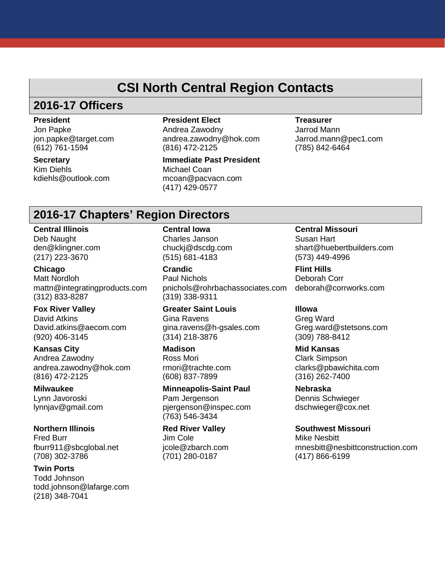### **CSI North Central Region Contacts**

# **2016-17 Officers**

**President**

Jon Papke jon.papke@target.com (612) 761-1594

**Secretary** Kim Diehls kdiehls@outlook.com **President Elect** 

Andrea Zawodny andrea.zawodny@hok.com (816) 472-2125

**Immediate Past President** Michael Coan mcoan@pacvacn.com (417) 429-0577

**Treasurer** Jarrod Mann Jarrod.mann@pec1.com (785) 842-6464

### **2016-17 Chapters' Region Directors**

**Central Illinois** Deb Naught den@klingner.com (217) 223-3670

**Chicago** Matt Nordloh mattn@integratingproducts.com (312) 833-8287

**Fox River Valley** David Atkins David.atkins@aecom.com (920) 406-3145

**Kansas City** Andrea Zawodny andrea.zawodny@hok.com (816) 472-2125

**Milwaukee** Lynn Javoroski lynnjav@gmail.com

**Northern Illinois** Fred Burr fburr911@sbcglobal.net (708) 302-3786

**Twin Ports** Todd Johnson todd.johnson@lafarge.com (218) 348-7041

**Central Iowa**

Charles Janson chuckj@dscdg.com (515) 681-4183

**Crandic** Paul Nichols pnichols@rohrbachassociates.com (319) 338-9311

**Greater Saint Louis** Gina Ravens gina.ravens@h-gsales.com (314) 218-3876

**Madison** Ross Mori rmori@trachte.com (608) 837-7899

**Minneapolis-Saint Paul** Pam Jergenson pjergenson@inspec.com (763) 546-3434

**Red River Valley** Jim Cole jcole@zbarch.com (701) 280-0187

**Central Missouri** Susan Hart shart@huebertbuilders.com (573) 449-4996

**Flint Hills** Deborah Corr deborah@corrworks.com

**Illowa** Greg Ward Greg.ward@stetsons.com (309) 788-8412

**Mid Kansas** Clark Simpson clarks@pbawichita.com (316) 262-7400

**Nebraska** Dennis Schwieger dschwieger@cox.net

**Southwest Missouri** Mike Nesbitt mnesbitt@nesbittconstruction.com (417) 866-6199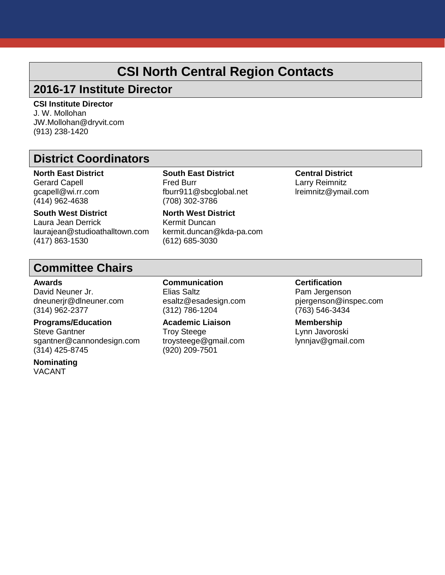## **CSI North Central Region Contacts**

### **2016-17 Institute Director**

**CSI Institute Director<br>J. W. Mollohan** J. W. Mollohan JW.Mollohan@dryvit.com (913) 238-1420

### **District Coordinators**

**North East District** Gerard Capell gcapell@wi.rr.com (414) 962-4638

**South West District** Laura Jean Derrick laurajean@studioathalltown.com (417) 863-1530

**South East District** Fred Burr fburr911@sbcglobal.net (708) 302-3786

**North West District** Kermit Duncan kermit.duncan@kda-pa.com (612) 685-3030

**Central District** Larry Reimnitz lreimnitz@ymail.com

### **Committee Chairs**

#### **Awards**

David Neuner Jr. dneunerjr@dlneuner.com (314) 962-2377

### **Programs/Education**

Steve Gantner sgantner@cannondesign.com (314) 425-8745

**Nominating** VACANT

**Communication** Elias Saltz esaltz@esadesign.com (312) 786-1204

**Academic Liaison** Troy Steege troysteege@gmail.com (920) 209-7501

### **Certification**

Pam Jergenson pjergenson@inspec.com (763) 546-3434

**Membership** Lynn Javoroski lynnjav@gmail.com